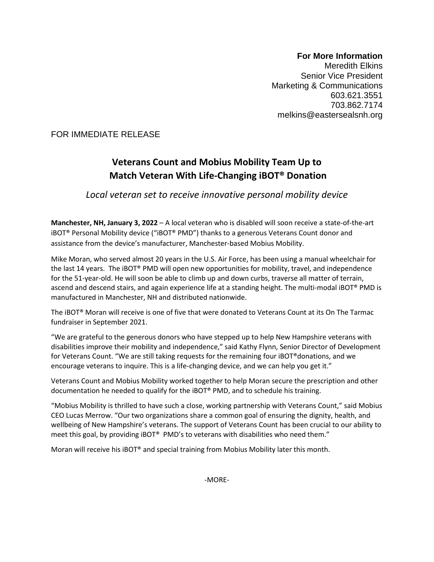## **For More Information**

Meredith Elkins Senior Vice President Marketing & Communications 603.621.3551 703.862.7174 melkins@eastersealsnh.org

FOR IMMEDIATE RELEASE

## **Veterans Count and Mobius Mobility Team Up to Match Veteran With Life-Changing iBOT® Donation**

*Local veteran set to receive innovative personal mobility device*

**Manchester, NH, January 3, 2022** – A local veteran who is disabled will soon receive a state-of-the-art iBOT® Personal Mobility device ("iBOT® PMD") thanks to a generous Veterans Count donor and assistance from the device's manufacturer, Manchester-based Mobius Mobility.

Mike Moran, who served almost 20 years in the U.S. Air Force, has been using a manual wheelchair for the last 14 years. The iBOT® PMD will open new opportunities for mobility, travel, and independence for the 51-year-old. He will soon be able to climb up and down curbs, traverse all matter of terrain, ascend and descend stairs, and again experience life at a standing height. The multi-modal iBOT® PMD is manufactured in Manchester, NH and distributed nationwide.

The iBOT® Moran will receive is one of five that were donated to Veterans Count at its On The Tarmac fundraiser in September 2021.

"We are grateful to the generous donors who have stepped up to help New Hampshire veterans with disabilities improve their mobility and independence," said Kathy Flynn, Senior Director of Development for Veterans Count. "We are still taking requests for the remaining four iBOT® donations, and we encourage veterans to inquire. This is a life-changing device, and we can help you get it."

Veterans Count and Mobius Mobility worked together to help Moran secure the prescription and other documentation he needed to qualify for the iBOT® PMD, and to schedule his training.

"Mobius Mobility is thrilled to have such a close, working partnership with Veterans Count," said Mobius CEO Lucas Merrow. "Our two organizations share a common goal of ensuring the dignity, health, and wellbeing of New Hampshire's veterans. The support of Veterans Count has been crucial to our ability to meet this goal, by providing iBOT® PMD's to veterans with disabilities who need them."

Moran will receive his iBOT® and special training from Mobius Mobility later this month.

-MORE-